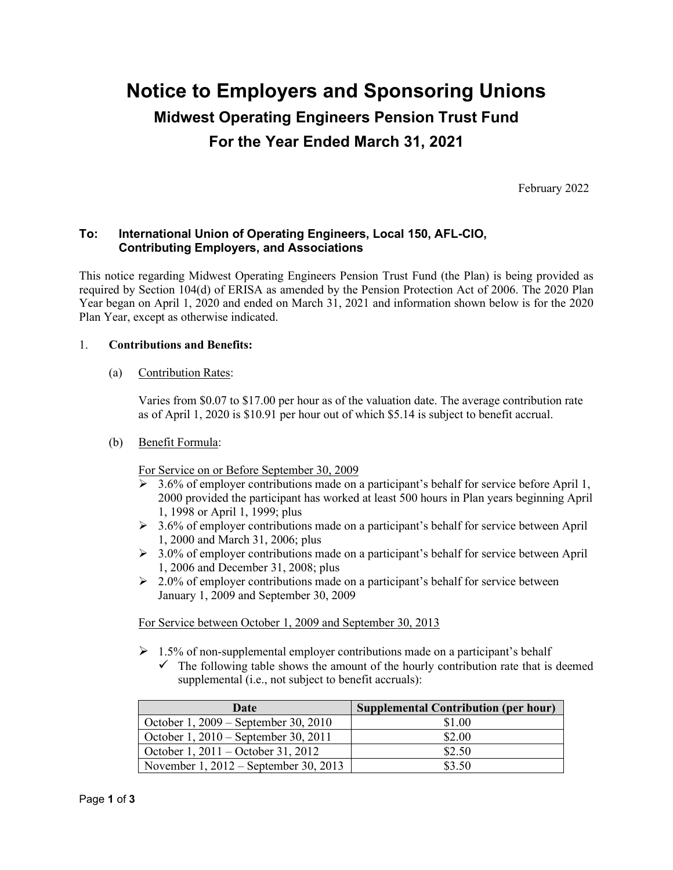## **Notice to Employers and Sponsoring Unions Midwest Operating Engineers Pension Trust Fund For the Year Ended March 31, 2021**

February 2022

## **To: International Union of Operating Engineers, Local 150, AFL-CIO, Contributing Employers, and Associations**

This notice regarding Midwest Operating Engineers Pension Trust Fund (the Plan) is being provided as required by Section 104(d) of ERISA as amended by the Pension Protection Act of 2006. The 2020 Plan Year began on April 1, 2020 and ended on March 31, 2021 and information shown below is for the 2020 Plan Year, except as otherwise indicated.

## 1. **Contributions and Benefits:**

(a) Contribution Rates:

Varies from \$0.07 to \$17.00 per hour as of the valuation date. The average contribution rate as of April 1, 2020 is \$10.91 per hour out of which \$5.14 is subject to benefit accrual.

(b) Benefit Formula:

For Service on or Before September 30, 2009

- $\geq 3.6\%$  of employer contributions made on a participant's behalf for service before April 1, 2000 provided the participant has worked at least 500 hours in Plan years beginning April 1, 1998 or April 1, 1999; plus
- $\geq 3.6\%$  of employer contributions made on a participant's behalf for service between April 1, 2000 and March 31, 2006; plus
- $\geq 3.0\%$  of employer contributions made on a participant's behalf for service between April 1, 2006 and December 31, 2008; plus
- $\geq 2.0\%$  of employer contributions made on a participant's behalf for service between January 1, 2009 and September 30, 2009

For Service between October 1, 2009 and September 30, 2013

 $\geq 1.5\%$  of non-supplemental employer contributions made on a participant's behalf  $\checkmark$  The following table shows the amount of the hourly contribution rate that is deemed supplemental (i.e., not subject to benefit accruals):

| Date                                    | <b>Supplemental Contribution (per hour)</b> |
|-----------------------------------------|---------------------------------------------|
| October 1, 2009 – September 30, 2010    | \$1.00                                      |
| October 1, 2010 – September 30, 2011    | \$2.00                                      |
| October 1, 2011 – October 31, 2012      | \$2.50                                      |
| November $1, 2012$ – September 30, 2013 | \$3.50                                      |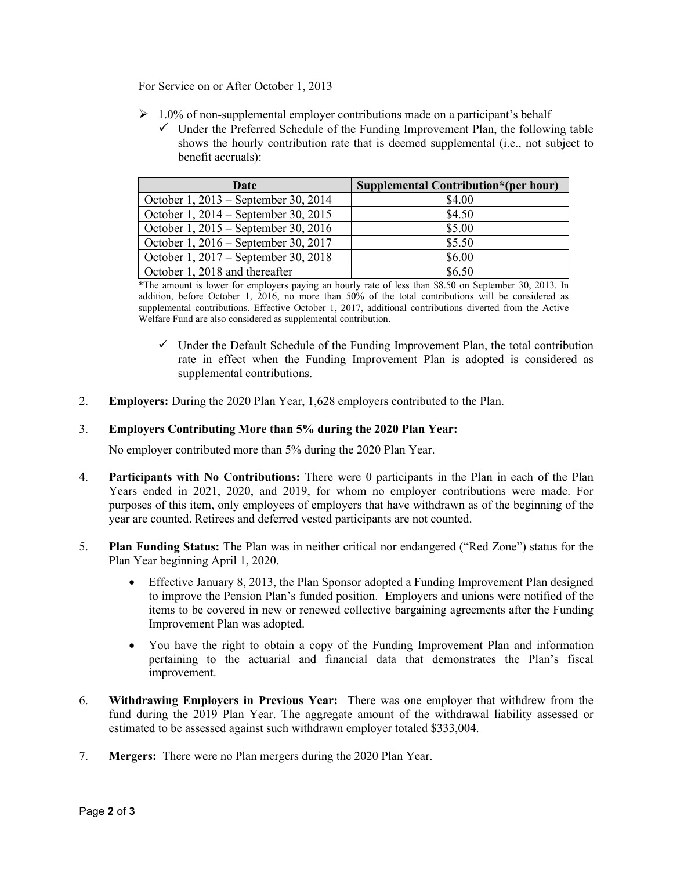For Service on or After October 1, 2013

- $\geq 1.0\%$  of non-supplemental employer contributions made on a participant's behalf
	- $\checkmark$  Under the Preferred Schedule of the Funding Improvement Plan, the following table shows the hourly contribution rate that is deemed supplemental (i.e., not subject to benefit accruals):

| Date                                 | Supplemental Contribution*(per hour) |
|--------------------------------------|--------------------------------------|
| October 1, 2013 – September 30, 2014 | \$4.00                               |
| October 1, 2014 – September 30, 2015 | \$4.50                               |
| October 1, 2015 – September 30, 2016 | \$5.00                               |
| October 1, 2016 – September 30, 2017 | \$5.50                               |
| October 1, 2017 – September 30, 2018 | \$6.00                               |
| October 1, 2018 and thereafter       | \$6.50                               |

\*The amount is lower for employers paying an hourly rate of less than \$8.50 on September 30, 2013. In addition, before October 1, 2016, no more than 50% of the total contributions will be considered as supplemental contributions. Effective October 1, 2017, additional contributions diverted from the Active Welfare Fund are also considered as supplemental contribution.

- $\checkmark$  Under the Default Schedule of the Funding Improvement Plan, the total contribution rate in effect when the Funding Improvement Plan is adopted is considered as supplemental contributions.
- 2. **Employers:** During the 2020 Plan Year, 1,628 employers contributed to the Plan.

## 3. **Employers Contributing More than 5% during the 2020 Plan Year:**

No employer contributed more than 5% during the 2020 Plan Year.

- 4. **Participants with No Contributions:** There were 0 participants in the Plan in each of the Plan Years ended in 2021, 2020, and 2019, for whom no employer contributions were made. For purposes of this item, only employees of employers that have withdrawn as of the beginning of the year are counted. Retirees and deferred vested participants are not counted.
- 5. **Plan Funding Status:** The Plan was in neither critical nor endangered ("Red Zone") status for the Plan Year beginning April 1, 2020.
	- Effective January 8, 2013, the Plan Sponsor adopted a Funding Improvement Plan designed to improve the Pension Plan's funded position. Employers and unions were notified of the items to be covered in new or renewed collective bargaining agreements after the Funding Improvement Plan was adopted.
	- You have the right to obtain a copy of the Funding Improvement Plan and information pertaining to the actuarial and financial data that demonstrates the Plan's fiscal improvement.
- 6. **Withdrawing Employers in Previous Year:** There was one employer that withdrew from the fund during the 2019 Plan Year. The aggregate amount of the withdrawal liability assessed or estimated to be assessed against such withdrawn employer totaled \$333,004.
- 7. **Mergers:** There were no Plan mergers during the 2020 Plan Year.